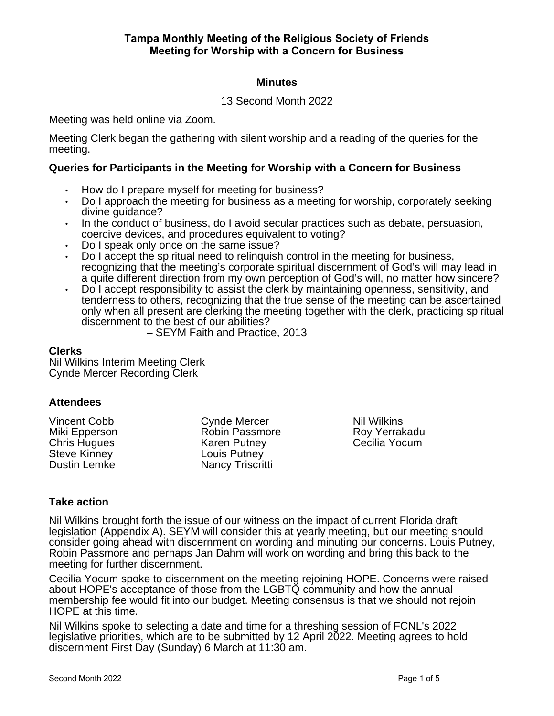# **Minutes**

# 13 Second Month 2022

Meeting was held online via Zoom.

Meeting Clerk began the gathering with silent worship and a reading of the queries for the meeting.

## **Queries for Participants in the Meeting for Worship with a Concern for Business**

- How do I prepare myself for meeting for business?
- Do I approach the meeting for business as a meeting for worship, corporately seeking divine guidance?
- In the conduct of business, do I avoid secular practices such as debate, persuasion, coercive devices, and procedures equivalent to voting?
- Do I speak only once on the same issue?
- Do I accept the spiritual need to relinquish control in the meeting for business, recognizing that the meeting's corporate spiritual discernment of God's will may lead in a quite different direction from my own perception of God's will, no matter how sincere?
- Do I accept responsibility to assist the clerk by maintaining openness, sensitivity, and tenderness to others, recognizing that the true sense of the meeting can be ascertained only when all present are clerking the meeting together with the clerk, practicing spiritual discernment to the best of our abilities?

– SEYM Faith and Practice, 2013

#### **Clerks**

Nil Wilkins Interim Meeting Clerk Cynde Mercer Recording Clerk

# **Attendees**

Vincent Cobb Miki Epperson Chris Hugues Steve Kinney Dustin Lemke

Cynde Mercer Robin Passmore Karen Putney Louis Putney Nancy Triscritti

Nil Wilkins Roy Yerrakadu Cecilia Yocum

# **Take action**

Nil Wilkins brought forth the issue of our witness on the impact of current Florida draft legislation (Appendix A). SEYM will consider this at yearly meeting, but our meeting should consider going ahead with discernment on wording and minuting our concerns. Louis Putney, Robin Passmore and perhaps Jan Dahm will work on wording and bring this back to the meeting for further discernment.

Cecilia Yocum spoke to discernment on the meeting rejoining HOPE. Concerns were raised about HOPE's acceptance of those from the LGBTQ community and how the annual membership fee would fit into our budget. Meeting consensus is that we should not rejoin HOPE at this time.

Nil Wilkins spoke to selecting a date and time for a threshing session of FCNL's 2022 legislative priorities, which are to be submitted by 12 April 2022. Meeting agrees to hold discernment First Day (Sunday) 6 March at 11:30 am.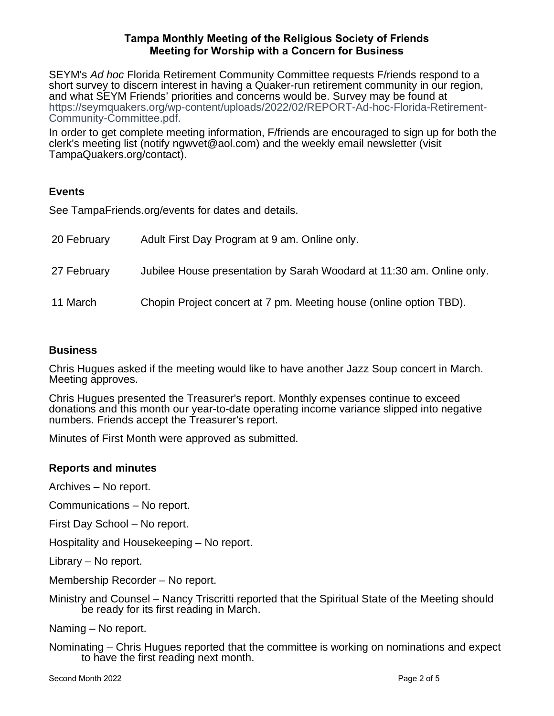SEYM's Ad hoc Florida Retirement Community Committee requests F/riends respond to a short survey to discern interest in having a Quaker-run retirement community in our region, and what SEYM Friends' priorities and concerns would be. Survey may be found at https://seymquakers.org/wp-content/uploads/2022/02/REPORT-Ad-hoc-Florida-Retirement-Community-Committee.pdf.

In order to get complete meeting information, F/friends are encouraged to sign up for both the clerk's meeting list (notify ngwvet@aol.com) and the weekly email newsletter (visit TampaQuakers.org/contact).

# **Events**

See TampaFriends.org/events for dates and details.

| 20 February | Adult First Day Program at 9 am. Online only.                         |
|-------------|-----------------------------------------------------------------------|
| 27 February | Jubilee House presentation by Sarah Woodard at 11:30 am. Online only. |
| 11 March    | Chopin Project concert at 7 pm. Meeting house (online option TBD).    |

# **Business**

Chris Hugues asked if the meeting would like to have another Jazz Soup concert in March. Meeting approves.

Chris Hugues presented the Treasurer's report. Monthly expenses continue to exceed donations and this month our year-to-date operating income variance slipped into negative numbers. Friends accept the Treasurer's report.

Minutes of First Month were approved as submitted.

# **Reports and minutes**

Archives – No report.

Communications – No report.

First Day School – No report.

Hospitality and Housekeeping – No report.

Library – No report.

Membership Recorder – No report.

Ministry and Counsel – Nancy Triscritti reported that the Spiritual State of the Meeting should be ready for its first reading in March.

Naming – No report.

Nominating – Chris Hugues reported that the committee is working on nominations and expect to have the first reading next month.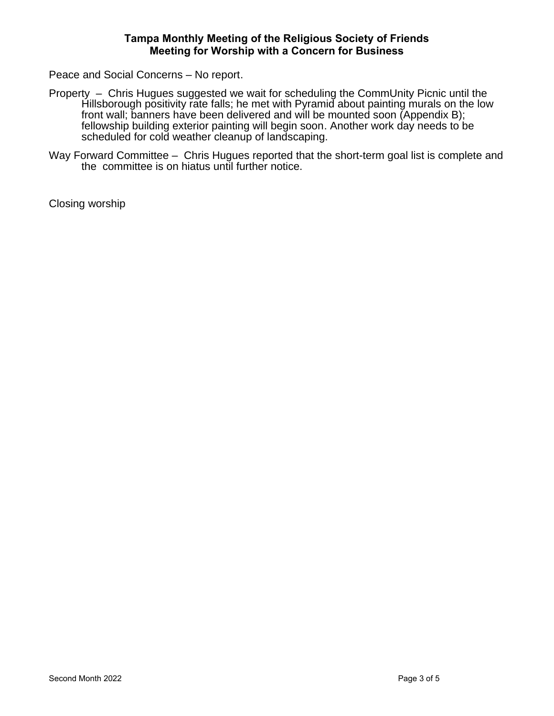Peace and Social Concerns – No report.

- Property Chris Hugues suggested we wait for scheduling the CommUnity Picnic until the Hillsborough positivity rate falls; he met with Pyramid about painting murals on the low front wall; banners have been delivered and will be mounted soon (Appendix B); fellowship building exterior painting will begin soon. Another work day needs to be scheduled for cold weather cleanup of landscaping.
- Way Forward Committee Chris Hugues reported that the short-term goal list is complete and the committee is on hiatus until further notice.

Closing worship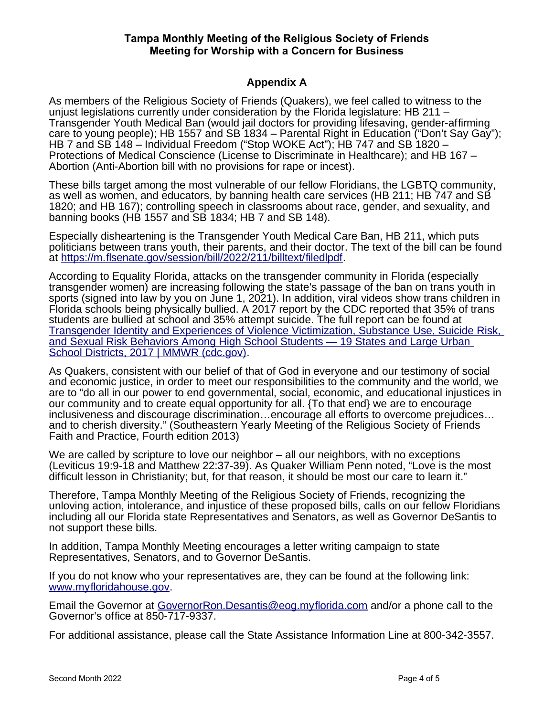## **Appendix A**

As members of the Religious Society of Friends (Quakers), we feel called to witness to the unjust legislations currently under consideration by the Florida legislature: HB 211 – Transgender Youth Medical Ban (would jail doctors for providing lifesaving, gender-affirming care to young people); HB 1557 and SB 1834 – Parental Right in Education ("Don't Say Gay"); HB 7 and SB 148 – Individual Freedom ("Stop WOKE Act"); HB 747 and SB 1820 – Protections of Medical Conscience (License to Discriminate in Healthcare); and HB 167 – Abortion (Anti-Abortion bill with no provisions for rape or incest).

These bills target among the most vulnerable of our fellow Floridians, the LGBTQ community, as well as women, and educators, by banning health care services (HB 211; HB 747 and SB 1820; and HB 167); controlling speech in classrooms about race, gender, and sexuality, and banning books (HB 1557 and SB 1834; HB 7 and SB 148).

Especially disheartening is the Transgender Youth Medical Care Ban, HB 211, which puts politicians between trans youth, their parents, and their doctor. The text of the bill can be found at [https://m.flsenate.gov/session/bill/2022/211/billtext/filedlpdf.](https://m.flsenate.gov/session/bill/2022/211/billtext/filedlpdf)

According to Equality Florida, attacks on the transgender community in Florida (especially transgender women) are increasing following the state's passage of the ban on trans youth in sports (signed into law by you on June 1, 2021). In addition, viral videos show trans children in Florida schools being physically bullied. A 2017 report by the CDC reported that 35% of trans students are bullied at school and 35% attempt suicide. The full report can be found at [Transgender Identity and Experiences of Violence Victimization, Substance Use, Suicide Risk,](https://www.cdc.gov/mmwr/volumes/68/wr/mm6803a3.htm)  [and Sexual Risk Behaviors Among High School Students — 19 States and Large Urban](https://www.cdc.gov/mmwr/volumes/68/wr/mm6803a3.htm)  [School Districts, 2017 | MMWR \(cdc.gov\).](https://www.cdc.gov/mmwr/volumes/68/wr/mm6803a3.htm)

As Quakers, consistent with our belief of that of God in everyone and our testimony of social and economic justice, in order to meet our responsibilities to the community and the world, we are to "do all in our power to end governmental, social, economic, and educational injustices in our community and to create equal opportunity for all. {To that end} we are to encourage inclusiveness and discourage discrimination…encourage all efforts to overcome prejudices… and to cherish diversity." (Southeastern Yearly Meeting of the Religious Society of Friends Faith and Practice, Fourth edition 2013)

We are called by scripture to love our neighbor – all our neighbors, with no exceptions (Leviticus 19:9-18 and Matthew 22:37-39). As Quaker William Penn noted, "Love is the most difficult lesson in Christianity; but, for that reason, it should be most our care to learn it."

Therefore, Tampa Monthly Meeting of the Religious Society of Friends, recognizing the unloving action, intolerance, and injustice of these proposed bills, calls on our fellow Floridians including all our Florida state Representatives and Senators, as well as Governor DeSantis to not support these bills.

In addition, Tampa Monthly Meeting encourages a letter writing campaign to state Representatives, Senators, and to Governor DeSantis.

If you do not know who your representatives are, they can be found at the following link: [www.myfloridahouse.gov.](http://www.myfloridahouse.gov/)

Email the Governor at [GovernorRon.Desantis@eog.myflorida.com](mailto:GovernorRon.Desantis@eog.myflorida.com) and/or a phone call to the Governor's office at 850-717-9337.

For additional assistance, please call the State Assistance Information Line at 800-342-3557.